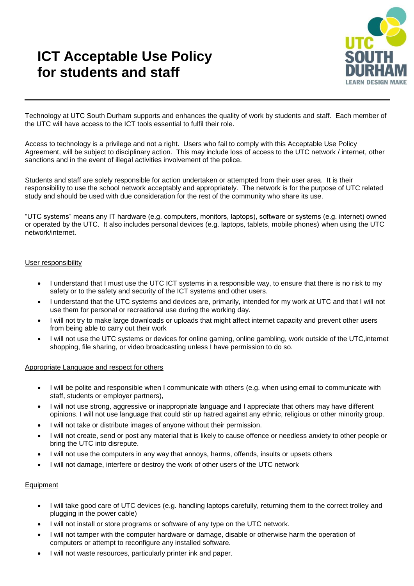# **ICT Acceptable Use Policy for students and staff**



Technology at UTC South Durham supports and enhances the quality of work by students and staff. Each member of the UTC will have access to the ICT tools essential to fulfil their role.

Access to technology is a privilege and not a right. Users who fail to comply with this Acceptable Use Policy Agreement, will be subject to disciplinary action. This may include loss of access to the UTC network / internet, other sanctions and in the event of illegal activities involvement of the police.

Students and staff are solely responsible for action undertaken or attempted from their user area. It is their responsibility to use the school network acceptably and appropriately. The network is for the purpose of UTC related study and should be used with due consideration for the rest of the community who share its use.

"UTC systems" means any IT hardware (e.g. computers, monitors, laptops), software or systems (e.g. internet) owned or operated by the UTC. It also includes personal devices (e.g. laptops, tablets, mobile phones) when using the UTC network/internet.

## User responsibility

- I understand that I must use the UTC ICT systems in a responsible way, to ensure that there is no risk to my safety or to the safety and security of the ICT systems and other users.
- I understand that the UTC systems and devices are, primarily, intended for my work at UTC and that I will not use them for personal or recreational use during the working day.
- I will not try to make large downloads or uploads that might affect internet capacity and prevent other users from being able to carry out their work
- I will not use the UTC systems or devices for online gaming, online gambling, work outside of the UTC,internet shopping, file sharing, or video broadcasting unless I have permission to do so.

## Appropriate Language and respect for others

- I will be polite and responsible when I communicate with others (e.g. when using email to communicate with staff, students or employer partners),
- I will not use strong, aggressive or inappropriate language and I appreciate that others may have different opinions. I will not use language that could stir up hatred against any ethnic, religious or other minority group.
- I will not take or distribute images of anyone without their permission.
- I will not create, send or post any material that is likely to cause offence or needless anxiety to other people or bring the UTC into disrepute.
- I will not use the computers in any way that annoys, harms, offends, insults or upsets others
- I will not damage, interfere or destroy the work of other users of the UTC network

## Equipment

- I will take good care of UTC devices (e.g. handling laptops carefully, returning them to the correct trolley and plugging in the power cable)
- I will not install or store programs or software of any type on the UTC network.
- I will not tamper with the computer hardware or damage, disable or otherwise harm the operation of computers or attempt to reconfigure any installed software.
- I will not waste resources, particularly printer ink and paper.